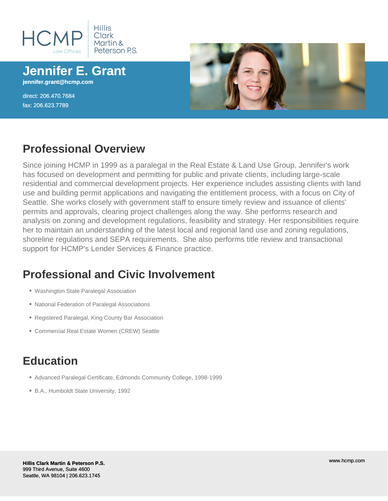

**Jennifer E. Grant jennifer.grant@hcmp.com**

direct: 206.470.7684 fax: 206.623.7789



## **Professional Overview**

Since joining HCMP in 1999 as a paralegal in the Real Estate & Land Use Group, Jennifer's work has focused on development and permitting for public and private clients, including large-scale residential and commercial development projects. Her experience includes assisting clients with land use and building permit applications and navigating the entitlement process, with a focus on City of Seattle. She works closely with government staff to ensure timely review and issuance of clients' permits and approvals, clearing project challenges along the way. She performs research and analysis on zoning and development regulations, feasibility and strategy. Her responsibilities require her to maintain an understanding of the latest local and regional land use and zoning regulations, shoreline regulations and SEPA requirements. She also performs title review and transactional support for HCMP's Lender Services & Finance practice.

## **Professional and Civic Involvement**

- Washington State Paralegal Association
- National Federation of Paralegal Associations
- Registered Paralegal, King County Bar Association
- Commercial Real Estate Women (CREW) Seattle

## **Education**

- Advanced Paralegal Certificate, Edmonds Community College, 1998-1999
- B.A., Humboldt State University, 1992